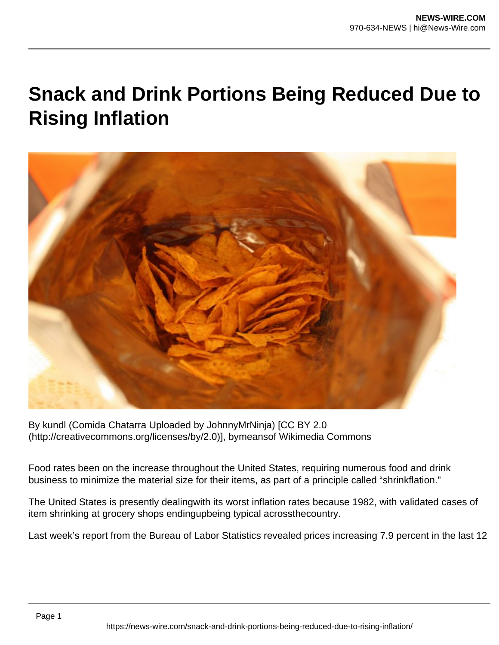## **Snack and Drink Portions Being Reduced Due to Rising Inflation**



By kundl (Comida Chatarra Uploaded by JohnnyMrNinja) [CC BY 2.0 (http://creativecommons.org/licenses/by/2.0)], bymeansof Wikimedia Commons

Food rates been on the increase throughout the United States, requiring numerous food and drink business to minimize the material size for their items, as part of a principle called "shrinkflation."

The United States is presently dealingwith its worst inflation rates because 1982, with validated cases of item shrinking at grocery shops endingupbeing typical acrossthecountry.

Last week's report from the Bureau of Labor Statistics revealed prices increasing 7.9 percent in the last 12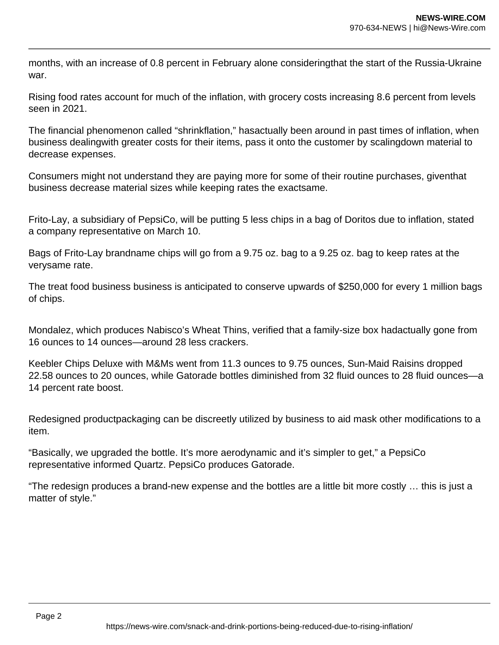months, with an increase of 0.8 percent in February alone consideringthat the start of the Russia-Ukraine war.

Rising food rates account for much of the inflation, with grocery costs increasing 8.6 percent from levels seen in 2021.

The financial phenomenon called "shrinkflation," hasactually been around in past times of inflation, when business dealingwith greater costs for their items, pass it onto the customer by scalingdown material to decrease expenses.

Consumers might not understand they are paying more for some of their routine purchases, giventhat business decrease material sizes while keeping rates the exactsame.

Frito-Lay, a subsidiary of PepsiCo, will be putting 5 less chips in a bag of Doritos due to inflation, stated a company representative on March 10.

Bags of Frito-Lay brandname chips will go from a 9.75 oz. bag to a 9.25 oz. bag to keep rates at the verysame rate.

The treat food business business is anticipated to conserve upwards of \$250,000 for every 1 million bags of chips.

Mondalez, which produces Nabisco's Wheat Thins, verified that a family-size box hadactually gone from 16 ounces to 14 ounces—around 28 less crackers.

Keebler Chips Deluxe with M&Ms went from 11.3 ounces to 9.75 ounces, Sun-Maid Raisins dropped 22.58 ounces to 20 ounces, while Gatorade bottles diminished from 32 fluid ounces to 28 fluid ounces—a 14 percent rate boost.

Redesigned productpackaging can be discreetly utilized by business to aid mask other modifications to a item.

"Basically, we upgraded the bottle. It's more aerodynamic and it's simpler to get," a PepsiCo representative informed Quartz. PepsiCo produces Gatorade.

"The redesign produces a brand-new expense and the bottles are a little bit more costly … this is just a matter of style."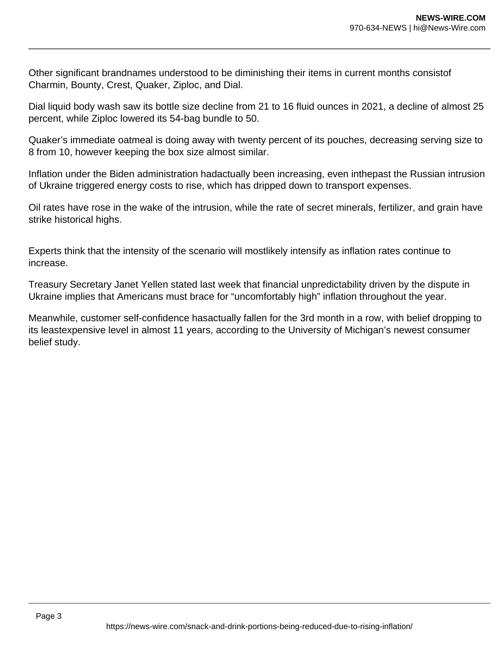Other significant brandnames understood to be diminishing their items in current months consistof Charmin, Bounty, Crest, Quaker, Ziploc, and Dial.

Dial liquid body wash saw its bottle size decline from 21 to 16 fluid ounces in 2021, a decline of almost 25 percent, while Ziploc lowered its 54-bag bundle to 50.

Quaker's immediate oatmeal is doing away with twenty percent of its pouches, decreasing serving size to 8 from 10, however keeping the box size almost similar.

Inflation under the Biden administration hadactually been increasing, even inthepast the Russian intrusion of Ukraine triggered energy costs to rise, which has dripped down to transport expenses.

Oil rates have rose in the wake of the intrusion, while the rate of secret minerals, fertilizer, and grain have strike historical highs.

Experts think that the intensity of the scenario will mostlikely intensify as inflation rates continue to increase.

Treasury Secretary Janet Yellen stated last week that financial unpredictability driven by the dispute in Ukraine implies that Americans must brace for "uncomfortably high" inflation throughout the year.

Meanwhile, customer self-confidence hasactually fallen for the 3rd month in a row, with belief dropping to its leastexpensive level in almost 11 years, according to the University of Michigan's newest consumer belief study.